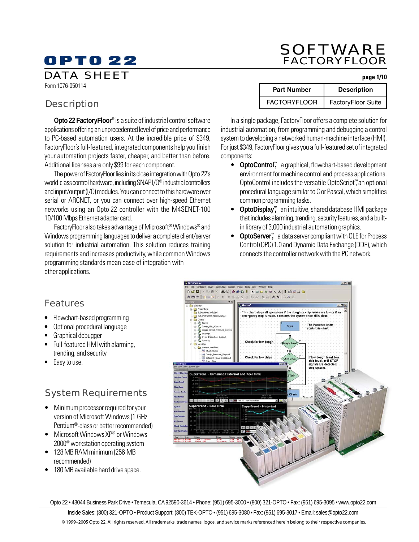### DATA SHEET **page 1/10**

Form 1076-050114

### **Description**

**Opto 22 FactoryFloor®** is a suite of industrial control software applications offering an unprecedented level of price and performance to PC-based automation users. At the incredible price of \$349, FactoryFloor's full-featured, integrated components help you finish your automation projects faster, cheaper, and better than before. Additional licenses are only \$99 for each component.

The power of FactoryFloor lies in its close integration with Opto 22's world-class control hardware, including SNAP I/O**®** industrial controllers and input/output (I/O) modules. You can connect to this hardware over serial or ARCNET, or you can connect over high-speed Ethernet networks using an Opto 22 controller with the M4SENET-100 10/100 Mbps Ethernet adapter card.

FactoryFloor also takes advantage of Microsoft**®** Windows**®** and Windows programming languages to deliver a complete client/server solution for industrial automation. This solution reduces training requirements and increases productivity, while common Windows programming standards mean ease of integration with other applications.

# SOFTWARE FACTORYFLOOR

| <b>Part Number</b>  | <b>Description</b> |
|---------------------|--------------------|
| <b>FACTORYFLOOR</b> | FactoryFloor Suite |

In a single package, FactoryFloor offers a complete solution for industrial automation, from programming and debugging a control system to developing a networked human-machine interface (HMI). For just \$349, FactoryFloor gives you a full-featured set of integrated components:

- **OptoControl™,** a graphical, flowchart-based development environment for machine control and process applications. OptoControl includes the versatile OptoScript**™**, an optional procedural language similar to C or Pascal, which simplifies common programming tasks.
- **OptoDisplay™,** an intuitive, shared database HMI package that includes alarming, trending, security features, and a builtin library of 3,000 industrial automation graphics.
- **OptoServer™,** a data server compliant with OLE for Process Control (OPC) 1.0 and Dynamic Data Exchange (DDE), which connects the controller network with the PC network.

### Features

- Flowchart-based programming
- Optional procedural language
- Graphical debugger
- Full-featured HMI with alarming, trending, and security
- Easy to use.

### System Requirements

- Minimum processor required for your version of Microsoft Windows (1 GHz Pentium®-class or better recommended)
- Microsoft Windows XP<sup>®</sup> or Windows 2000® workstation operating system
- 128 MB RAM minimum (256 MB recommended)
- 180 MB available hard drive space.



Opto 22 • 43044 Business Park Drive • Temecula, CA 92590-3614 • Phone: (951) 695-3000 • (800) 321-OPTO • Fax: (951) 695-3095 • www.opto22.com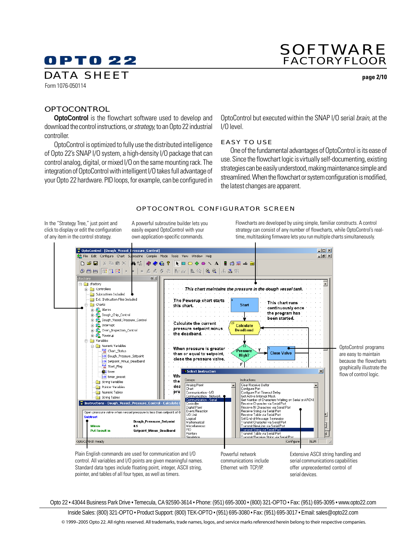### SOFTWARE FACTORYFLOOR

#### Form 1076-050114 DATA SHEET **page 2/10**

**OPTOCONTROL** 

**OptoControl** is the flowchart software used to develop and download the control instructions, or *strategy*, to an Opto 22 industrial controller.

OptoControl is optimized to fully use the distributed intelligence of Opto 22's SNAP I/O system, a high-density I/O package that can control analog, digital, or mixed I/O on the same mounting rack. The integration of OptoControl with intelligent I/O takes full advantage of your Opto 22 hardware. PID loops, for example, can be configured in OptoControl but executed within the SNAP I/O serial brain, at the I/O level.

#### EASY TO USE

One of the fundamental advantages of OptoControl is its ease of use. Since the flowchart logic is virtually self-documenting, existing strategies can be easily understood, making maintenance simple and streamlined. When the flowchart or system configuration is modified, the latest changes are apparent.

#### OPTOCONTROL CONFIGURATOR SCREEN

In the "Strategy Tree," just point and click to display or edit the configuration of any item in the control strategy.

A powerful subroutine builder lets you easily expand OptoControl with your own application-specific commands.

Flowcharts are developed by using simple, familiar constructs. A control strategy can consist of any number of flowcharts, while OptoControl's realtime, multitasking firmware lets you run multiple charts simultaneously.



control. All variables and I/O points are given meaningful names. Standard data types include floating point, integer, ASCII string, pointer, and tables of all four types, as well as timers.

communications include Ethernet with TCP/IP.

serial communications capabilities offer unprecedented control of serial devices.

Opto 22 • 43044 Business Park Drive • Temecula, CA 92590-3614 • Phone: (951) 695-3000 • (800) 321-OPTO • Fax: (951) 695-3095 • www.opto22.com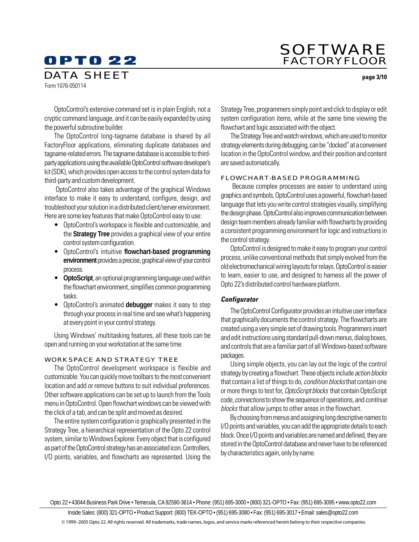### SOFTWARE FACTORYFLOOR

Form 1076-050114 DATA SHEET **page 3/10**

OptoControl's extensive command set is in plain English, not a cryptic command language, and it can be easily expanded by using the powerful subroutine builder.

The OptoControl long-tagname database is shared by all FactoryFloor applications, eliminating duplicate databases and tagname-related errors. The tagname database is accessible to thirdparty applications using the available OptoControl software developer's kit (SDK), which provides open access to the control system data for third-party and custom development.

 OptoControl also takes advantage of the graphical Windows interface to make it easy to understand, configure, design, and troubleshoot your solution in a distributed client/server environment. Here are some key features that make OptoControl easy to use:

- OptoControl's workspace is flexible and customizable, and the **Strategy Tree** provides a graphical view of your entire control system configuration.
- OptoControl's intuitive **flowchart-based programming** environment provides a precise, graphical view of your control process.
- **OptoScript**, an optional programming language used within the flowchart environment, simplifies common programming tasks.
- OptoControl's animated **debugger** makes it easy to step through your process in real time and see what's happening at every point in your control strategy.

Using Windows' multitasking features, all these tools can be open and running on your workstation at the same time.

#### WORKSPACE AND STRATEGY TREE

The OptoControl development workspace is flexible and customizable. You can quickly move toolbars to the most convenient location and add or remove buttons to suit individual preferences. Other software applications can be set up to launch from the Tools menu in OptoControl. Open flowchart windows can be viewed with the click of a tab, and can be split and moved as desired.

The entire system configuration is graphically presented in the Strategy Tree, a hierarchical representation of the Opto 22 control system, similar to Windows Explorer. Every object that is configured as part of the OptoControl strategy has an associated icon. Controllers, I/O points, variables, and flowcharts are represented. Using the Strategy Tree, programmers simply point and click to display or edit system configuration items, while at the same time viewing the flowchart and logic associated with the object.

The Strategy Tree and watch windows, which are used to monitor strategy elements during debugging, can be "docked" at a convenient location in the OptoControl window, and their position and content are saved automatically.

#### FLOWCHART-BASED PROGRAMMING

 Because complex processes are easier to understand using graphics and symbols, OptoControl uses a powerful, flowchart-based language that lets you write control strategies visually, simplifying the design phase. OptoControl also improves communication between design team members already familiar with flowcharts by providing a consistent programming environment for logic and instructions in the control strategy.

OptoControl is designed to make it easy to program your control process, unlike conventional methods that simply evolved from the old electromechanical wiring layouts for relays. OptoControl is easier to learn, easier to use, and designed to harness all the power of Opto 22's distributed control hardware platform.

#### **Configurator**

The OptoControl Configurator provides an intuitive user interface that graphically documents the control strategy. The flowcharts are created using a very simple set of drawing tools. Programmers insert and edit instructions using standard pull-down menus, dialog boxes, and controls that are a familiar part of all Windows-based software packages.

Using simple objects, you can lay out the logic of the control strategy by creating a flowchart. These objects include *action blocks* that contain a list of things to do, *condition blocks* that contain one or more things to test for, OptoScript blocks that contain OptoScript code, connections to show the sequence of operations, and continue blocks that allow jumps to other areas in the flowchart.

By choosing from menus and assigning long descriptive names to I/O points and variables, you can add the appropriate details to each block. Once I/O points and variables are named and defined, they are stored in the OptoControl database and never have to be referenced by characteristics again, only by name.

Opto 22 • 43044 Business Park Drive • Temecula, CA 92590-3614 • Phone: (951) 695-3000 • (800) 321-OPTO • Fax: (951) 695-3095 • www.opto22.com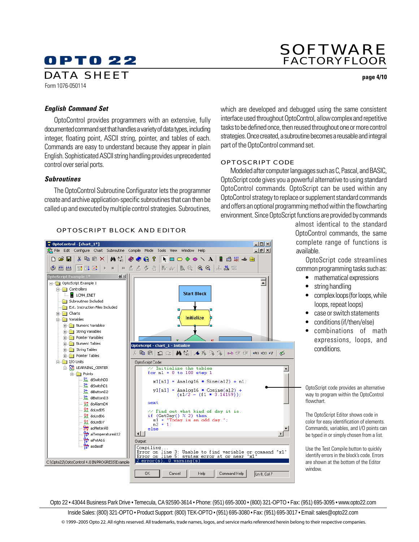### SOFTWARE FACTORYFLOOR

DATA SHEET **page 4/10**

### Form 1076-050114

#### **English Command Set**

OptoControl provides programmers with an extensive, fully documented command set that handles a variety of data types, including integer, floating point, ASCII string, pointer, and tables of each. Commands are easy to understand because they appear in plain English. Sophisticated ASCII string handling provides unprecedented control over serial ports.

#### **Subroutines**

The OptoControl Subroutine Configurator lets the programmer create and archive application-specific subroutines that can then be called up and executed by multiple control strategies. Subroutines,

#### OPTOSCRIPT BLOCK AND EDITOR

DptoControl - [chart\_1\*]  $-10x$ 유 File Edit Configure Chart Subroutine Compile Mode Tools View Window Help  $\overline{\Box}$ e $\overline{\times}$ 自西線台腳 ◈▩▦│◘◘◘▎▸◾│▫▵▵◂◈│▓~│▙◎│QQ│ふѦ▩ <u>o∣ ≍l</u> 국 OptoScript Example 1  $\overline{\Box}$  Controllers **Start Block E** LCM4\_ENET Subroutines Included **Ext. Instruction Files Included E** Charts Initialize **D** Variables **E** Numeric Variables  $\frac{1}{|H|}$  String Variables Pointer Variables **H**<sub>m</sub> Numeric Tables OptoScript - chart 1 - Initialize  $\frac{1}{\vert \frac{1}{\vert \cdot \vert}}$  String Tables 陶画221画编本库%%/ab重电|moxorv|※ Find Pointer Tables  $\frac{1}{\Box}$  I/O Units OptoScript Code: **E-RO LEARNING\_CENTER**  $\frac{7}{100}$  Initialize the tables<br>for n1 = 0 to 100 step 1 ⊡  $\overline{\Box}$  Points ht diSwitchD0  $x1[n1]$  = Analog16 \* Sine(a12) + n1; ht diSwitchD1 • $y1[n1]$  = Analog16 \* Cosine(a12) + **In** diButtonD2  $(n1/2 - (f1 * 3.14159))$ ·抗 diButtonD3 R<sup>+</sup> doAlarmD4 next oLedD5 // Find out what kind of day it is.<br>if (GetDay() % 2) then<br>s1 = "Today is an odd day.";  $\frac{64}{100}$  do LedD6  $\frac{\text{sl}}{\text{n2}} = \frac{\text{n}}{1}$ 유럽 doLedD7 aoMeterA8 else  $\frac{\Omega_{\star}}{\Omega_{\star}}$  airemperature<br>A12<br> $\frac{\Omega_{\star}}{\Omega_{\star}}$  airentational control of the set of the set of the set of the set of the set of the set of the set of the set of the set of the set of the set of the set of the set of t  $\vert \cdot \vert$  $\mathbf{E}$ Output: Compiling Error on line 3: Unable to find variable or command "x1" Error syntax error at or near mn. line  $2error(s)$  $0$  warning(s) C:\Opto22\OptoControl 4.0 IN PROGRESS\Example  $0K$ Command Help Cancel Help  $Ln 8, Col 7$ 

which are developed and debugged using the same consistent interface used throughout OptoControl, allow complex and repetitive tasks to be defined once, then reused throughout one or more control strategies. Once created, a subroutine becomes a reusable and integral part of the OptoControl command set.

#### OPTOSCRIPT CODE

Modeled after computer languages such as C, Pascal, and BASIC, OptoScript code gives you a powerful alternative to using standard OptoControl commands. OptoScript can be used within any OptoControl strategy to replace or supplement standard commands and offers an optional programming method within the flowcharting environment. Since OptoScript functions are provided by commands

> almost identical to the standard OptoControl commands, the same complete range of functions is available.

> OptoScript code streamlines common programming tasks such as:

- mathematical expressions
- string handling
- complex loops (for loops, while loops, repeat loops)
- case or switch statements
- conditions (if/then/else)
- combinations of math expressions, loops, and conditions.

OptoScript code provides an alternative way to program within the OptoControl flowchart.

The OptoScript Editor shows code in color for easy identification of elements. Commands, variables, and I/O points can be typed in or simply chosen from a list.

Use the Test Compile button to quickly identify errors in the block's code. Errors are shown at the bottom of the Editor window.

Opto 22 • 43044 Business Park Drive • Temecula, CA 92590-3614 • Phone: (951) 695-3000 • (800) 321-OPTO • Fax: (951) 695-3095 • www.opto22.com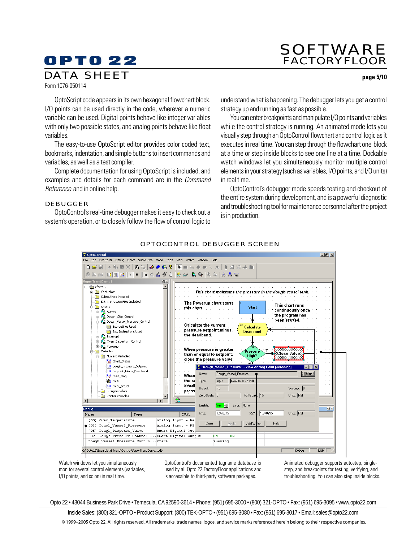### SOFTWARE FACTORYFLOOR

DATA SHEET **page 5/10**

Form 1076-050114

OptoScript code appears in its own hexagonal flowchart block. I/O points can be used directly in the code, wherever a numeric variable can be used. Digital points behave like integer variables with only two possible states, and analog points behave like float variables.

The easy-to-use OptoScript editor provides color coded text, bookmarks, indentation, and simple buttons to insert commands and variables, as well as a test compiler.

Complete documentation for using OptoScript is included, and examples and details for each command are in the *Command* Reference and in online help.

#### DEBUGGER

OptoControl's real-time debugger makes it easy to check out a system's operation, or to closely follow the flow of control logic to understand what is happening. The debugger lets you get a control strategy up and running as fast as possible.

You can enter breakpoints and manipulate I/O points and variables while the control strategy is running. An animated mode lets you visually step through an OptoControl flowchart and control logic as it executes in real time. You can step through the flowchart one block at a time or step inside blocks to see one line at a time. Dockable watch windows let you simultaneously monitor multiple control elements in your strategy (such as variables, I/O points, and I/O units) in real time.

OptoControl's debugger mode speeds testing and checkout of the entire system during development, and is a powerful diagnostic and troubleshooting tool for maintenance personnel after the project is in production.



OPTOCONTROL DEBUGGER SCREEN

Watch windows let you simultaneously monitor several control elements (variables, I/O points, and so on) in real time.

OptoControl's documented tagname database is used by all Opto 22 FactoryFloor applications and is accessible to third-party software packages.

Animated debugger supports autostep, singlestep, and breakpoints for testing, verifying, and troubleshooting. You can also step inside blocks.

Opto 22 • 43044 Business Park Drive • Temecula, CA 92590-3614 • Phone: (951) 695-3000 • (800) 321-OPTO • Fax: (951) 695-3095 • www.opto22.com

Inside Sales: (800) 321-OPTO • Product Support: (800) TEK-OPTO • (951) 695-3080 • Fax: (951) 695-3017 • Email: sales@opto22.com

© 1999–2005 Opto 22. All rights reserved. All trademarks, trade names, logos, and service marks referenced herein belong to their respective companies.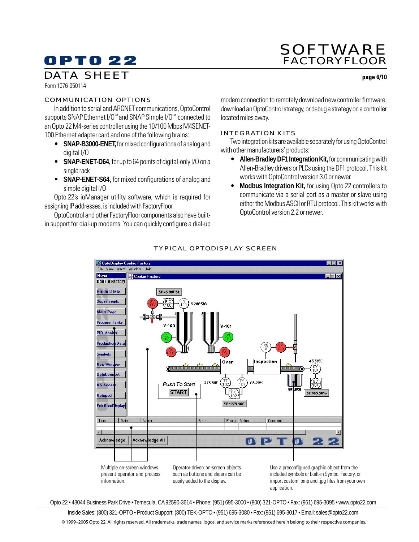# SOFTWARE FACTORYFLOOR

### DATA SHEET **page 6/10**

Form 1076-050114

#### COMMUNICATION OPTIONS

In addition to serial and ARCNET communications, OptoControl supports SNAP Ethernet I/O™ and SNAP Simple I/O™ connected to an Opto 22 M4-series controller using the 10/100 Mbps M4SENET-100 Ethernet adapter card and one of the following brains:

- **SNAP-B3000-ENET,** for mixed configurations of analog and digital I/O
- **SNAP-ENET-D64,** for up to 64 points of digital-only I/O on a single rack
- **SNAP-ENET-S64,** for mixed configurations of analog and simple digital I/O

Opto 22's ioManager utility software, which is required for assigning IP addresses, is included with FactoryFloor.

OptoControl and other FactoryFloor components also have builtin support for dial-up modems. You can quickly configure a dial-up modem connection to remotely download new controller firmware, download an OptoControl strategy, or debug a strategy on a controller located miles away.

#### INTEGRATION KITS

Two integration kits are available separately for using OptoControl with other manufacturers' products:

- **Allen-Bradley DF1 Integration Kit,** for communicating with Allen-Bradley drivers or PLCs using the DF1 protocol. This kit works with OptoControl version 3.0 or newer.
- **Modbus Integration Kit,** for using Opto 22 controllers to communicate via a serial port as a master or slave using either the Modbus ASCII or RTU protocol. This kit works with OptoControl version 2.2 or newer.



### TYPICAL OPTODISPLAY SCREEN

Opto 22 • 43044 Business Park Drive • Temecula, CA 92590-3614 • Phone: (951) 695-3000 • (800) 321-OPTO • Fax: (951) 695-3095 • www.opto22.com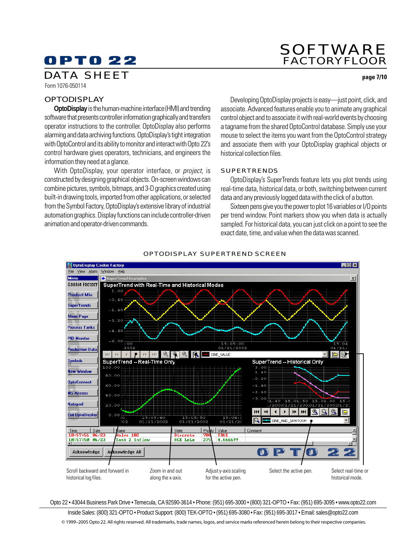### SOFTWARE FACTORYFLOOR

### DATA SHEET **page 7/10**

Form 1076-050114

#### **OPTODISPLAY**

**OptoDisplay** is the human-machine interface (HMI) and trending software that presents controller information graphically and transfers operator instructions to the controller. OptoDisplay also performs alarming and data archiving functions. OptoDisplay's tight integration with OptoControl and its ability to monitor and interact with Opto 22's control hardware gives operators, technicians, and engineers the information they need at a glance.

With OptoDisplay, your operator interface, or *project*, is constructed by designing graphical objects. On-screen windows can combine pictures, symbols, bitmaps, and 3-D graphics created using built-in drawing tools, imported from other applications, or selected from the Symbol Factory, OptoDisplay's extensive library of industrial automation graphics. Display functions can include controller-driven animation and operator-driven commands.

Developing OptoDisplay projects is easy—just point, click, and associate. Advanced features enable you to animate any graphical control object and to associate it with real-world events by choosing a tagname from the shared OptoControl database. Simply use your mouse to select the items you want from the OptoControl strategy and associate them with your OptoDisplay graphical objects or historical collection files.

#### SUPERTRENDS

OptoDisplay's SuperTrends feature lets you plot trends using real-time data, historical data, or both, switching between current data and any previously logged data with the click of a button.

Sixteen pens give you the power to plot 16 variables or I/O points per trend window. Point markers show you when data is actually sampled. For historical data, you can just click on a point to see the exact date, time, and value when the data was scanned.



#### OPTODISPLAY SUPERTREND SCREEN

Opto 22 • 43044 Business Park Drive • Temecula, CA 92590-3614 • Phone: (951) 695-3000 • (800) 321-OPTO • Fax: (951) 695-3095 • www.opto22.com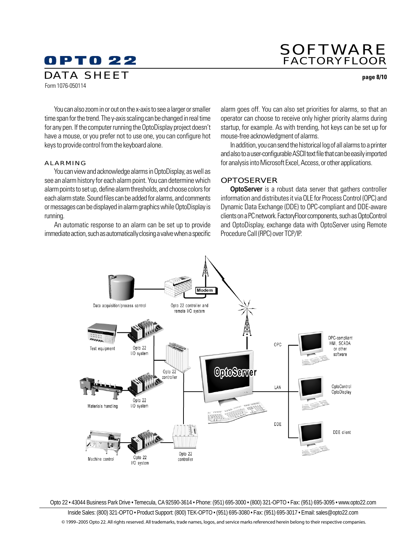### SOFTWARE FACTORYFLOOR

DATA SHEET **page 8/10**

You can also zoom in or out on the x-axis to see a larger or smaller time span for the trend. The y-axis scaling can be changed in real time for any pen. If the computer running the OptoDisplay project doesn't have a mouse, or you prefer not to use one, you can configure hot keys to provide control from the keyboard alone.

#### ALARMING

Form 1076-050114

You can view and acknowledge alarms in OptoDisplay, as well as see an alarm history for each alarm point. You can determine which alarm points to set up, define alarm thresholds, and choose colors for each alarm state. Sound files can be added for alarms, and comments or messages can be displayed in alarm graphics while OptoDisplay is running.

An automatic response to an alarm can be set up to provide immediate action, such as automatically closing a valve when a specific alarm goes off. You can also set priorities for alarms, so that an operator can choose to receive only higher priority alarms during startup, for example. As with trending, hot keys can be set up for mouse-free acknowledgment of alarms.

In addition, you can send the historical log of all alarms to a printer and also to a user-configurable ASCII text file that can be easily imported for analysis into Microsoft Excel, Access, or other applications.

#### **OPTOSERVER**

**OptoServer** is a robust data server that gathers controller information and distributes it via OLE for Process Control (OPC) and Dynamic Data Exchange (DDE) to OPC-compliant and DDE-aware clients on a PC network. FactoryFloor components, such as OptoControl and OptoDisplay, exchange data with OptoServer using Remote Procedure Call (RPC) over TCP/IP.



Opto 22 • 43044 Business Park Drive • Temecula, CA 92590-3614 • Phone: (951) 695-3000 • (800) 321-OPTO • Fax: (951) 695-3095 • www.opto22.com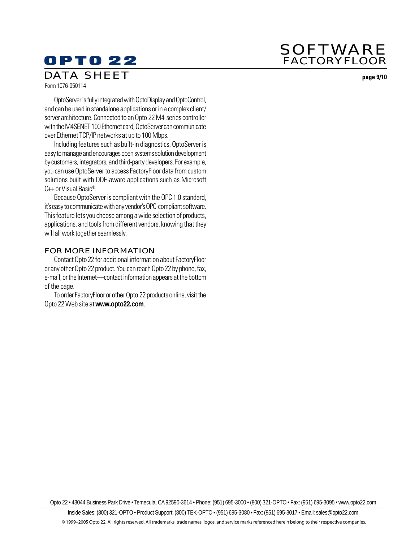### SOFTWARE FACTORYFLOOR

# **OPTO 22**

### DATA SHEET **page 9/10**

Form 1076-050114

OptoServer is fully integrated with OptoDisplay and OptoControl, and can be used in standalone applications or in a complex client/ server architecture. Connected to an Opto 22 M4-series controller with the M4SENET-100 Ethernet card, OptoServer can communicate over Ethernet TCP/IP networks at up to 100 Mbps.

Including features such as built-in diagnostics, OptoServer is easy to manage and encourages open systems solution development by customers, integrators, and third-party developers. For example, you can use OptoServer to access FactoryFloor data from custom solutions built with DDE-aware applications such as Microsoft C++ or Visual Basic**®**.

Because OptoServer is compliant with the OPC 1.0 standard, it's easy to communicate with any vendor's OPC-compliant software. This feature lets you choose among a wide selection of products, applications, and tools from different vendors, knowing that they will all work together seamlessly.

#### FOR MORE INFORMATION

Contact Opto 22 for additional information about FactoryFloor or any other Opto 22 product. You can reach Opto 22 by phone, fax, e-mail, or the Internet—contact information appears at the bottom of the page.

To order FactoryFloor or other Opto 22 products online, visit the Opto 22 Web site at **www.opto22.com**.